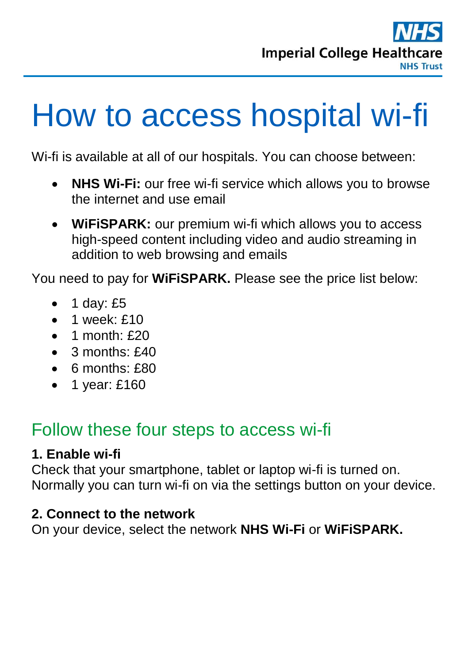

# How to access hospital wi-fi

Wi-fi is available at all of our hospitals. You can choose between:

- **NHS Wi-Fi:** our free wi-fi service which allows you to browse the internet and use email
- **WiFiSPARK:** our premium wi-fi which allows you to access high-speed content including video and audio streaming in addition to web browsing and emails

You need to pay for **WiFiSPARK.** Please see the price list below:

- $\bullet$  1 day: £5
- $\bullet$  1 week: £10
- $\bullet$  1 month:  $f$ 20
- $\bullet$  3 months:  $f40$
- $\bullet$  6 months:  $£80$
- $\bullet$  1 year: £160

### Follow these four steps to access wi-fi

#### **1. Enable wi-fi**

Check that your smartphone, tablet or laptop wi-fi is turned on. Normally you can turn wi-fi on via the settings button on your device.

#### **2. Connect to the network**

On your device, select the network **NHS Wi-Fi** or **WiFiSPARK.**